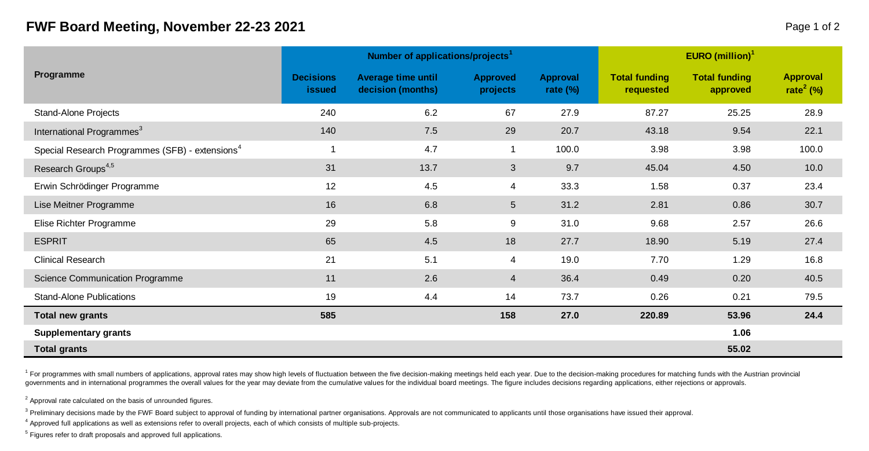## **FWF Board Meeting, November 22-23 2021 Page 1 of 2 Page 1 of 2**

|                                                             |                                   | Number of applications/projects <sup>1</sup> |                             | EURO (million) $1$             |                                   |                                  |                                   |  |
|-------------------------------------------------------------|-----------------------------------|----------------------------------------------|-----------------------------|--------------------------------|-----------------------------------|----------------------------------|-----------------------------------|--|
| Programme                                                   | <b>Decisions</b><br><b>issued</b> | Average time until<br>decision (months)      | <b>Approved</b><br>projects | <b>Approval</b><br>rate $(\%)$ | <b>Total funding</b><br>requested | <b>Total funding</b><br>approved | Approval<br>rate <sup>2</sup> (%) |  |
| Stand-Alone Projects                                        | 240                               | 6.2                                          | 67                          | 27.9                           | 87.27                             | 25.25                            | 28.9                              |  |
| International Programmes <sup>3</sup>                       | 140                               | 7.5                                          | 29                          | 20.7                           | 43.18                             | 9.54                             | 22.1                              |  |
| Special Research Programmes (SFB) - extensions <sup>4</sup> | 1                                 | 4.7                                          | 1                           | 100.0                          | 3.98                              | 3.98                             | 100.0                             |  |
| Research Groups <sup>4,5</sup>                              | 31                                | 13.7                                         | 3                           | 9.7                            | 45.04                             | 4.50                             | 10.0                              |  |
| Erwin Schrödinger Programme                                 | 12                                | 4.5                                          | 4                           | 33.3                           | 1.58                              | 0.37                             | 23.4                              |  |
| Lise Meitner Programme                                      | 16                                | 6.8                                          | $5\overline{)}$             | 31.2                           | 2.81                              | 0.86                             | 30.7                              |  |
| Elise Richter Programme                                     | 29                                | 5.8                                          | 9                           | 31.0                           | 9.68                              | 2.57                             | 26.6                              |  |
| <b>ESPRIT</b>                                               | 65                                | 4.5                                          | 18                          | 27.7                           | 18.90                             | 5.19                             | 27.4                              |  |
| <b>Clinical Research</b>                                    | 21                                | 5.1                                          | 4                           | 19.0                           | 7.70                              | 1.29                             | 16.8                              |  |
| Science Communication Programme                             | 11                                | 2.6                                          | 4                           | 36.4                           | 0.49                              | 0.20                             | 40.5                              |  |
| <b>Stand-Alone Publications</b>                             | 19                                | 4.4                                          | 14                          | 73.7                           | 0.26                              | 0.21                             | 79.5                              |  |
| <b>Total new grants</b>                                     | 585                               |                                              | 158                         | 27.0                           | 220.89                            | 53.96                            | 24.4                              |  |
| <b>Supplementary grants</b>                                 |                                   |                                              |                             |                                |                                   | 1.06                             |                                   |  |
| <b>Total grants</b>                                         |                                   |                                              |                             |                                |                                   | 55.02                            |                                   |  |

<sup>1</sup> For programmes with small numbers of applications, approval rates may show high levels of fluctuation between the five decision-making meetings held each year. Due to the decision-making procedures for matching funds w governments and in international programmes the overall values for the year may deviate from the cumulative values for the individual board meetings. The figure includes decisions regarding applications, either rejections

 $2$  Approval rate calculated on the basis of unrounded figures.

<sup>3</sup> Preliminary decisions made by the FWF Board subject to approval of funding by international partner organisations. Approvals are not communicated to applicants until those organisations have issued their approval

4 Approved full applications as well as extensions refer to overall projects, each of which consists of multiple sub-projects.

<sup>5</sup> Figures refer to draft proposals and approved full applications.